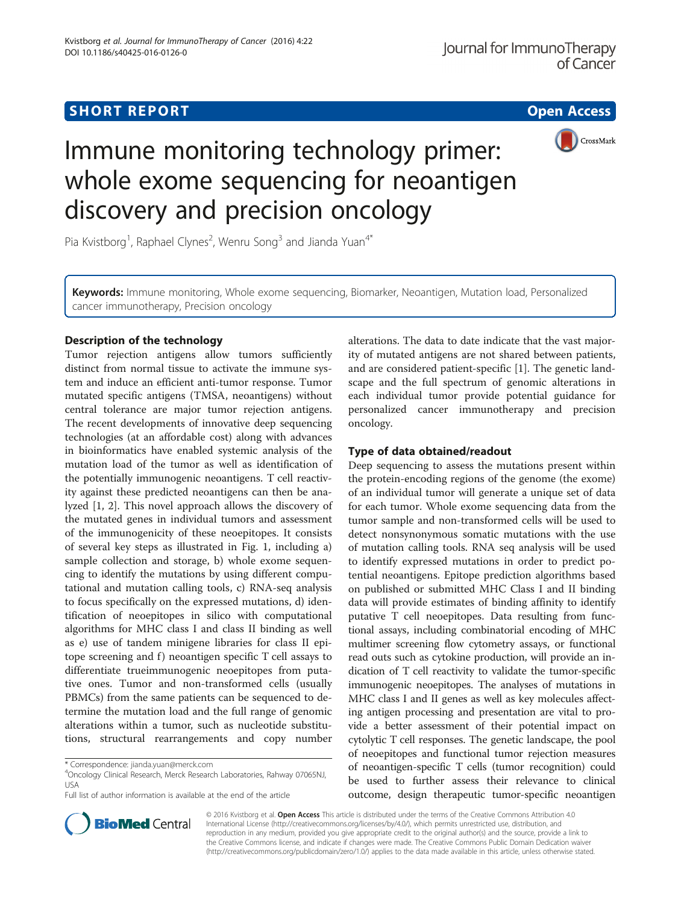## **SHORT REPORT SHORT CONSUMING THE CONSUMING THE CONSUMING THE CONSUMING THE CONSUMING THE CONSUMING THE CONSUMING THE CONSUMING THE CONSUMING THE CONSUMING THE CONSUMING THE CONSUMING THE CONSUMING THE CONSUMING THE CONS**



# Immune monitoring technology primer: whole exome sequencing for neoantigen discovery and precision oncology

Pia Kvistborg<sup>1</sup>, Raphael Clynes<sup>2</sup>, Wenru Song<sup>3</sup> and Jianda Yuan<sup>4\*</sup>

Keywords: Immune monitoring, Whole exome sequencing, Biomarker, Neoantigen, Mutation load, Personalized cancer immunotherapy, Precision oncology

## Description of the technology

Tumor rejection antigens allow tumors sufficiently distinct from normal tissue to activate the immune system and induce an efficient anti-tumor response. Tumor mutated specific antigens (TMSA, neoantigens) without central tolerance are major tumor rejection antigens. The recent developments of innovative deep sequencing technologies (at an affordable cost) along with advances in bioinformatics have enabled systemic analysis of the mutation load of the tumor as well as identification of the potentially immunogenic neoantigens. T cell reactivity against these predicted neoantigens can then be analyzed [\[1](#page-2-0), [2](#page-2-0)]. This novel approach allows the discovery of the mutated genes in individual tumors and assessment of the immunogenicity of these neoepitopes. It consists of several key steps as illustrated in Fig. [1,](#page-1-0) including a) sample collection and storage, b) whole exome sequencing to identify the mutations by using different computational and mutation calling tools, c) RNA-seq analysis to focus specifically on the expressed mutations, d) identification of neoepitopes in silico with computational algorithms for MHC class I and class II binding as well as e) use of tandem minigene libraries for class II epitope screening and  $f$ ) neoantigen specific  $T$  cell assays to differentiate trueimmunogenic neoepitopes from putative ones. Tumor and non-transformed cells (usually PBMCs) from the same patients can be sequenced to determine the mutation load and the full range of genomic alterations within a tumor, such as nucleotide substitutions, structural rearrangements and copy number

alterations. The data to date indicate that the vast majority of mutated antigens are not shared between patients, and are considered patient-specific [\[1](#page-2-0)]. The genetic landscape and the full spectrum of genomic alterations in each individual tumor provide potential guidance for personalized cancer immunotherapy and precision oncology.

## Type of data obtained/readout

Deep sequencing to assess the mutations present within the protein-encoding regions of the genome (the exome) of an individual tumor will generate a unique set of data for each tumor. Whole exome sequencing data from the tumor sample and non-transformed cells will be used to detect nonsynonymous somatic mutations with the use of mutation calling tools. RNA seq analysis will be used to identify expressed mutations in order to predict potential neoantigens. Epitope prediction algorithms based on published or submitted MHC Class I and II binding data will provide estimates of binding affinity to identify putative T cell neoepitopes. Data resulting from functional assays, including combinatorial encoding of MHC multimer screening flow cytometry assays, or functional read outs such as cytokine production, will provide an indication of T cell reactivity to validate the tumor-specific immunogenic neoepitopes. The analyses of mutations in MHC class I and II genes as well as key molecules affecting antigen processing and presentation are vital to provide a better assessment of their potential impact on cytolytic T cell responses. The genetic landscape, the pool of neoepitopes and functional tumor rejection measures of neoantigen-specific T cells (tumor recognition) could be used to further assess their relevance to clinical outcome, design therapeutic tumor-specific neoantigen



© 2016 Kvistborg et al. Open Access This article is distributed under the terms of the Creative Commons Attribution 4.0 International License [\(http://creativecommons.org/licenses/by/4.0/](http://creativecommons.org/licenses/by/4.0/)), which permits unrestricted use, distribution, and reproduction in any medium, provided you give appropriate credit to the original author(s) and the source, provide a link to the Creative Commons license, and indicate if changes were made. The Creative Commons Public Domain Dedication waiver [\(http://creativecommons.org/publicdomain/zero/1.0/](http://creativecommons.org/publicdomain/zero/1.0/)) applies to the data made available in this article, unless otherwise stated.

<sup>\*</sup> Correspondence: [jianda.yuan@merck.com](mailto:jianda.yuan@merck.com) <sup>4</sup>

Oncology Clinical Research, Merck Research Laboratories, Rahway 07065NJ, USA

Full list of author information is available at the end of the article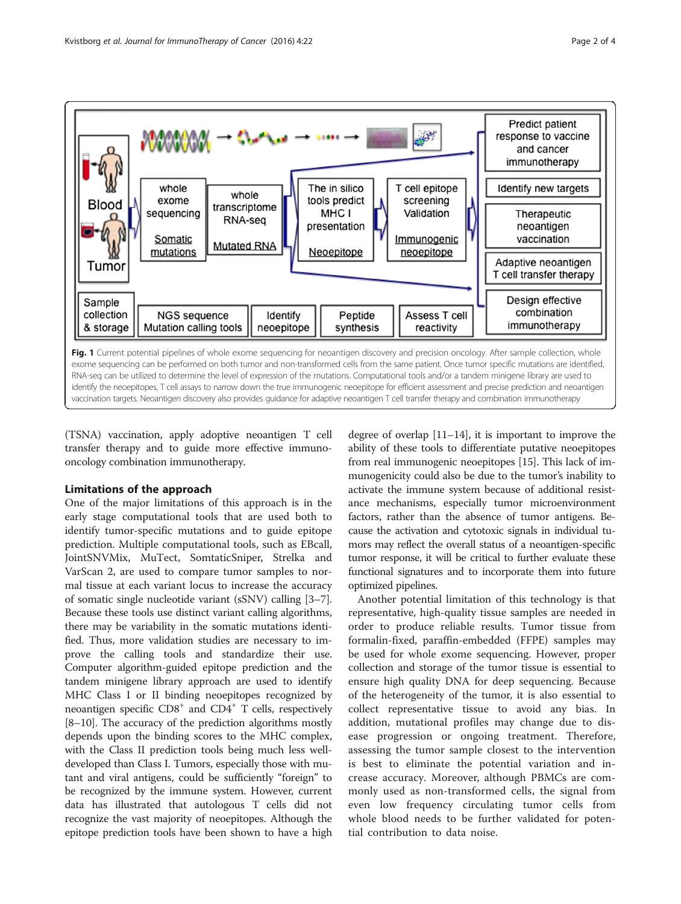<span id="page-1-0"></span>

(TSNA) vaccination, apply adoptive neoantigen T cell transfer therapy and to guide more effective immunooncology combination immunotherapy.

## Limitations of the approach

One of the major limitations of this approach is in the early stage computational tools that are used both to identify tumor-specific mutations and to guide epitope prediction. Multiple computational tools, such as EBcall, JointSNVMix, MuTect, SomtaticSniper, Strelka and VarScan 2, are used to compare tumor samples to normal tissue at each variant locus to increase the accuracy of somatic single nucleotide variant (sSNV) calling [[3](#page-2-0)–[7](#page-2-0)]. Because these tools use distinct variant calling algorithms, there may be variability in the somatic mutations identified. Thus, more validation studies are necessary to improve the calling tools and standardize their use. Computer algorithm-guided epitope prediction and the tandem minigene library approach are used to identify MHC Class I or II binding neoepitopes recognized by neoantigen specific  $CD8<sup>+</sup>$  and  $CD4<sup>+</sup>$  T cells, respectively [[8](#page-2-0)–[10](#page-2-0)]. The accuracy of the prediction algorithms mostly depends upon the binding scores to the MHC complex, with the Class II prediction tools being much less welldeveloped than Class I. Tumors, especially those with mutant and viral antigens, could be sufficiently "foreign" to be recognized by the immune system. However, current data has illustrated that autologous T cells did not recognize the vast majority of neoepitopes. Although the epitope prediction tools have been shown to have a high

degree of overlap [[11](#page-2-0)–[14\]](#page-2-0), it is important to improve the ability of these tools to differentiate putative neoepitopes from real immunogenic neoepitopes [[15](#page-3-0)]. This lack of immunogenicity could also be due to the tumor's inability to activate the immune system because of additional resistance mechanisms, especially tumor microenvironment factors, rather than the absence of tumor antigens. Because the activation and cytotoxic signals in individual tumors may reflect the overall status of a neoantigen-specific tumor response, it will be critical to further evaluate these functional signatures and to incorporate them into future optimized pipelines.

Another potential limitation of this technology is that representative, high-quality tissue samples are needed in order to produce reliable results. Tumor tissue from formalin-fixed, paraffin-embedded (FFPE) samples may be used for whole exome sequencing. However, proper collection and storage of the tumor tissue is essential to ensure high quality DNA for deep sequencing. Because of the heterogeneity of the tumor, it is also essential to collect representative tissue to avoid any bias. In addition, mutational profiles may change due to disease progression or ongoing treatment. Therefore, assessing the tumor sample closest to the intervention is best to eliminate the potential variation and increase accuracy. Moreover, although PBMCs are commonly used as non-transformed cells, the signal from even low frequency circulating tumor cells from whole blood needs to be further validated for potential contribution to data noise.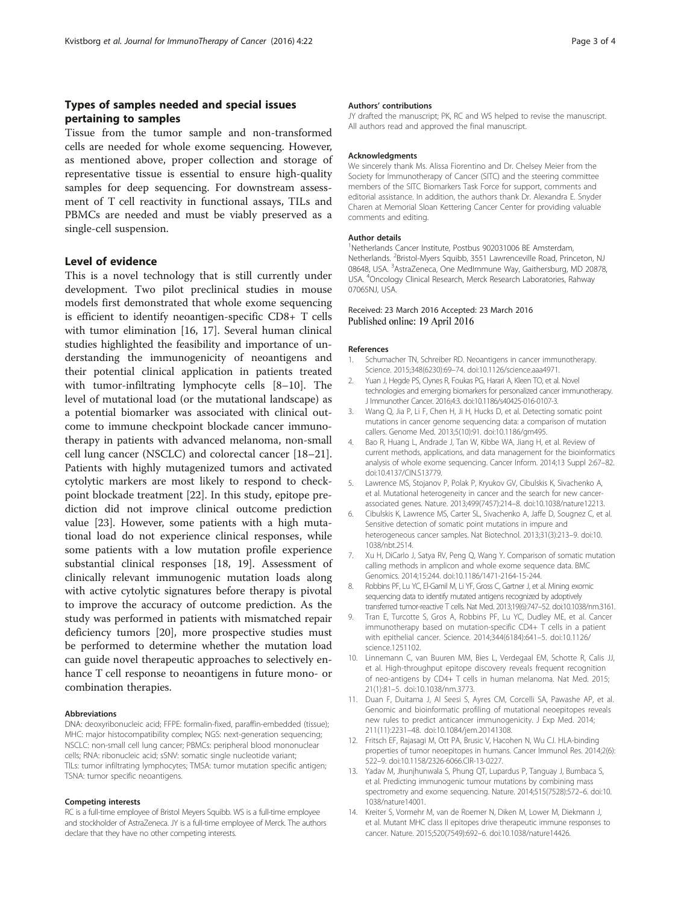## <span id="page-2-0"></span>Types of samples needed and special issues pertaining to samples

Tissue from the tumor sample and non-transformed cells are needed for whole exome sequencing. However, as mentioned above, proper collection and storage of representative tissue is essential to ensure high-quality samples for deep sequencing. For downstream assessment of T cell reactivity in functional assays, TILs and PBMCs are needed and must be viably preserved as a single-cell suspension.

## Level of evidence

This is a novel technology that is still currently under development. Two pilot preclinical studies in mouse models first demonstrated that whole exome sequencing is efficient to identify neoantigen-specific CD8+ T cells with tumor elimination [\[16](#page-3-0), [17\]](#page-3-0). Several human clinical studies highlighted the feasibility and importance of understanding the immunogenicity of neoantigens and their potential clinical application in patients treated with tumor-infiltrating lymphocyte cells [8–10]. The level of mutational load (or the mutational landscape) as a potential biomarker was associated with clinical outcome to immune checkpoint blockade cancer immunotherapy in patients with advanced melanoma, non-small cell lung cancer (NSCLC) and colorectal cancer [[18](#page-3-0)–[21](#page-3-0)]. Patients with highly mutagenized tumors and activated cytolytic markers are most likely to respond to checkpoint blockade treatment [\[22\]](#page-3-0). In this study, epitope prediction did not improve clinical outcome prediction value [[23\]](#page-3-0). However, some patients with a high mutational load do not experience clinical responses, while some patients with a low mutation profile experience substantial clinical responses [[18, 19\]](#page-3-0). Assessment of clinically relevant immunogenic mutation loads along with active cytolytic signatures before therapy is pivotal to improve the accuracy of outcome prediction. As the study was performed in patients with mismatched repair deficiency tumors [\[20](#page-3-0)], more prospective studies must be performed to determine whether the mutation load can guide novel therapeutic approaches to selectively enhance T cell response to neoantigens in future mono- or combination therapies.

#### Abbreviations

DNA: deoxyribonucleic acid; FFPE: formalin-fixed, paraffin-embedded (tissue); MHC: major histocompatibility complex; NGS: next-generation sequencing; NSCLC: non-small cell lung cancer; PBMCs: peripheral blood mononuclear cells; RNA: ribonucleic acid; sSNV: somatic single nucleotide variant; TILs: tumor infiltrating lymphocytes; TMSA: tumor mutation specific antigen; TSNA: tumor specific neoantigens.

#### Competing interests

RC is a full-time employee of Bristol Meyers Squibb. WS is a full-time employee and stockholder of AstraZeneca. JY is a full-time employee of Merck. The authors declare that they have no other competing interests.

#### Authors' contributions

JY drafted the manuscript; PK, RC and WS helped to revise the manuscript. All authors read and approved the final manuscript.

#### Acknowledgments

We sincerely thank Ms. Alissa Fiorentino and Dr. Chelsey Meier from the Society for Immunotherapy of Cancer (SITC) and the steering committee members of the SITC Biomarkers Task Force for support, comments and editorial assistance. In addition, the authors thank Dr. Alexandra E. Snyder Charen at Memorial Sloan Kettering Cancer Center for providing valuable comments and editing.

#### Author details

<sup>1</sup>Netherlands Cancer Institute, Postbus 902031006 BE Amsterdam Netherlands. <sup>2</sup>Bristol-Myers Squibb, 3551 Lawrenceville Road, Princeton, NJ 08648, USA. <sup>3</sup>AstraZeneca, One MedImmune Way, Gaithersburg, MD 20878 USA. <sup>4</sup> Oncology Clinical Research, Merck Research Laboratories, Rahway 07065NJ, USA.

## Received: 23 March 2016 Accepted: 23 March 2016 Published online: 19 April 2016

#### References

- Schumacher TN, Schreiber RD. Neoantigens in cancer immunotherapy. Science. 2015;348(6230):69–74. doi[:10.1126/science.aaa4971.](http://dx.doi.org/10.1126/science.aaa4971)
- 2. Yuan J, Hegde PS, Clynes R, Foukas PG, Harari A, Kleen TO, et al. Novel technologies and emerging biomarkers for personalized cancer immunotherapy. J Immunother Cancer. 2016;4:3. doi[:10.1186/s40425-016-0107-3](http://dx.doi.org/10.1186/s40425-016-0107-3).
- 3. Wang Q, Jia P, Li F, Chen H, Ji H, Hucks D, et al. Detecting somatic point mutations in cancer genome sequencing data: a comparison of mutation callers. Genome Med. 2013;5(10):91. doi:[10.1186/gm495.](http://dx.doi.org/10.1186/gm495)
- 4. Bao R, Huang L, Andrade J, Tan W, Kibbe WA, Jiang H, et al. Review of current methods, applications, and data management for the bioinformatics analysis of whole exome sequencing. Cancer Inform. 2014;13 Suppl 2:67–82. doi[:10.4137/CIN.S13779.](http://dx.doi.org/10.4137/CIN.S13779)
- 5. Lawrence MS, Stojanov P, Polak P, Kryukov GV, Cibulskis K, Sivachenko A, et al. Mutational heterogeneity in cancer and the search for new cancerassociated genes. Nature. 2013;499(7457):214–8. doi:[10.1038/nature12213.](http://dx.doi.org/10.1038/nature12213)
- 6. Cibulskis K, Lawrence MS, Carter SL, Sivachenko A, Jaffe D, Sougnez C, et al. Sensitive detection of somatic point mutations in impure and heterogeneous cancer samples. Nat Biotechnol. 2013;31(3):213–9. doi:[10.](http://dx.doi.org/10.1038/nbt.2514) [1038/nbt.2514](http://dx.doi.org/10.1038/nbt.2514).
- 7. Xu H, DiCarlo J, Satya RV, Peng Q, Wang Y. Comparison of somatic mutation calling methods in amplicon and whole exome sequence data. BMC Genomics. 2014;15:244. doi[:10.1186/1471-2164-15-244.](http://dx.doi.org/10.1186/1471-2164-15-244)
- 8. Robbins PF, Lu YC, El-Gamil M, Li YF, Gross C, Gartner J, et al. Mining exomic sequencing data to identify mutated antigens recognized by adoptively transferred tumor-reactive T cells. Nat Med. 2013;19(6):747–52. doi[:10.1038/nm.3161](http://dx.doi.org/10.1038/nm.3161).
- 9. Tran E, Turcotte S, Gros A, Robbins PF, Lu YC, Dudley ME, et al. Cancer immunotherapy based on mutation-specific CD4+ T cells in a patient with epithelial cancer. Science. 2014;344(6184):641–5. doi[:10.1126/](http://dx.doi.org/10.1126/science.1251102) [science.1251102](http://dx.doi.org/10.1126/science.1251102).
- 10. Linnemann C, van Buuren MM, Bies L, Verdegaal EM, Schotte R, Calis JJ, et al. High-throughput epitope discovery reveals frequent recognition of neo-antigens by CD4+ T cells in human melanoma. Nat Med. 2015; 21(1):81–5. doi[:10.1038/nm.3773](http://dx.doi.org/10.1038/nm.3773).
- 11. Duan F, Duitama J, Al Seesi S, Ayres CM, Corcelli SA, Pawashe AP, et al. Genomic and bioinformatic profiling of mutational neoepitopes reveals new rules to predict anticancer immunogenicity. J Exp Med. 2014; 211(11):2231–48. doi:[10.1084/jem.20141308.](http://dx.doi.org/10.1084/jem.20141308)
- 12. Fritsch EF, Rajasagi M, Ott PA, Brusic V, Hacohen N, Wu CJ. HLA-binding properties of tumor neoepitopes in humans. Cancer Immunol Res. 2014;2(6): 522–9. doi:[10.1158/2326-6066.CIR-13-0227.](http://dx.doi.org/10.1158/2326-6066.CIR-13-0227)
- 13. Yadav M, Jhunjhunwala S, Phung QT, Lupardus P, Tanguay J, Bumbaca S, et al. Predicting immunogenic tumour mutations by combining mass spectrometry and exome sequencing. Nature. 2014;515(7528):572–6. doi[:10.](http://dx.doi.org/10.1038/nature14001) [1038/nature14001](http://dx.doi.org/10.1038/nature14001).
- 14. Kreiter S, Vormehr M, van de Roemer N, Diken M, Lower M, Diekmann J, et al. Mutant MHC class II epitopes drive therapeutic immune responses to cancer. Nature. 2015;520(7549):692–6. doi:[10.1038/nature14426](http://dx.doi.org/10.1038/nature14426).